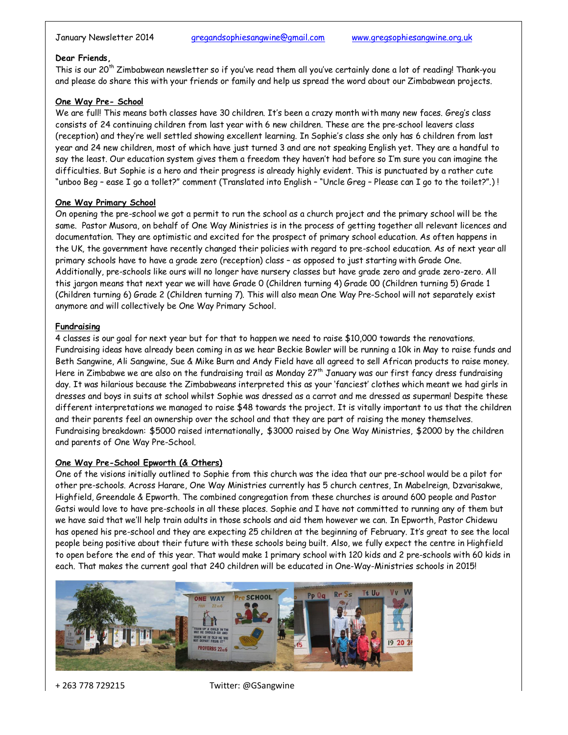#### **Dear Friends,**

This is our 20<sup>th</sup> Zimbabwean newsletter so if you've read them all you've certainly done a lot of reading! Thank-you and please do share this with your friends or family and help us spread the word about our Zimbabwean projects.

### **One Way Pre- School**

We are full! This means both classes have 30 children. It's been a crazy month with many new faces. Greg's class consists of 24 continuing children from last year with 6 new children. These are the pre-school leavers class (reception) and they're well settled showing excellent learning. In Sophie's class she only has 6 children from last year and 24 new children, most of which have just turned 3 and are not speaking English yet. They are a handful to say the least. Our education system gives them a freedom they haven't had before so I'm sure you can imagine the difficulties. But Sophie is a hero and their progress is already highly evident. This is punctuated by a rather cute "unboo Beg – ease I go a tollet?" comment (Translated into English – "Uncle Greg – Please can I go to the toilet?".) !

### **One Way Primary School**

On opening the pre-school we got a permit to run the school as a church project and the primary school will be the same. Pastor Musora, on behalf of One Way Ministries is in the process of getting together all relevant licences and documentation. They are optimistic and excited for the prospect of primary school education. As often happens in the UK, the government have recently changed their policies with regard to pre-school education. As of next year all primary schools have to have a grade zero (reception) class – as opposed to just starting with Grade One. Additionally, pre-schools like ours will no longer have nursery classes but have grade zero and grade zero-zero. All this jargon means that next year we will have Grade 0 (Children turning 4) Grade 00 (Children turning 5) Grade 1 (Children turning 6) Grade 2 (Children turning 7). This will also mean One Way Pre-School will not separately exist anymore and will collectively be One Way Primary School.

### **Fundraising**

4 classes is our goal for next year but for that to happen we need to raise \$10,000 towards the renovations. Fundraising ideas have already been coming in as we hear Beckie Bowler will be running a 10k in May to raise funds and Beth Sangwine, Ali Sangwine, Sue & Mike Burn and Andy Field have all agreed to sell African products to raise money. Here in Zimbabwe we are also on the fundraising trail as Monday  $27<sup>th</sup>$  January was our first fancy dress fundraising day. It was hilarious because the Zimbabweans interpreted this as your 'fanciest' clothes which meant we had girls in dresses and boys in suits at school whilst Sophie was dressed as a carrot and me dressed as superman! Despite these different interpretations we managed to raise \$48 towards the project. It is vitally important to us that the children and their parents feel an ownership over the school and that they are part of raising the money themselves. Fundraising breakdown: \$5000 raised internationally**,** \$3000 raised by One Way Ministries, \$2000 by the children and parents of One Way Pre-School.

#### **One Way Pre-School Epworth (& Others)**

One of the visions initially outlined to Sophie from this church was the idea that our pre-school would be a pilot for other pre-schools. Across Harare, One Way Ministries currently has 5 church centres, In Mabelreign, Dzvarisakwe, Highfield, Greendale & Epworth. The combined congregation from these churches is around 600 people and Pastor Gatsi would love to have pre-schools in all these places. Sophie and I have not committed to running any of them but we have said that we'll help train adults in those schools and aid them however we can. In Epworth, Pastor Chidewu has opened his pre-school and they are expecting 25 children at the beginning of February. It's great to see the local people being positive about their future with these schools being built. Also, we fully expect the centre in Highfield to open before the end of this year. That would make 1 primary school with 120 kids and 2 pre-schools with 60 kids in each. That makes the current goal that 240 children will be educated in One-Way-Ministries schools in 2015!